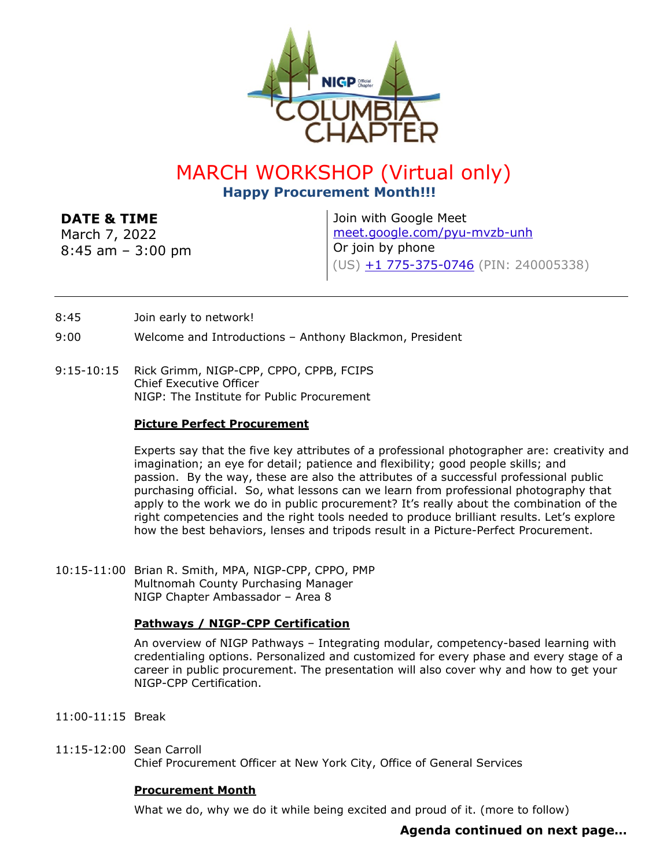

# MARCH WORKSHOP (Virtual only) **Happy Procurement Month!!!**

# **DATE & TIME**

March 7, 2022 8:45 am – 3:00 pm Join with Google Meet [meet.google.com/pyu-mvzb-unh](https://meet.google.com/pyu-mvzb-unh?hs=224) Or join by phone (US) [+1 775-375-0746](tel:+1-775-375-0746;240005338) (PIN: 240005338)

- 8:45 Join early to network!
- 9:00 Welcome and Introductions Anthony Blackmon, President
- 9:15-10:15 Rick Grimm, NIGP-CPP, CPPO, CPPB, FCIPS Chief Executive Officer NIGP: The Institute for Public Procurement

## **Picture Perfect Procurement**

Experts say that the five key attributes of a professional photographer are: creativity and imagination; an eye for detail; patience and flexibility; good people skills; and passion. By the way, these are also the attributes of a successful professional public purchasing official. So, what lessons can we learn from professional photography that apply to the work we do in public procurement? It's really about the combination of the right competencies and the right tools needed to produce brilliant results. Let's explore how the best behaviors, lenses and tripods result in a Picture-Perfect Procurement.

10:15-11:00 Brian R. Smith, MPA, NIGP-CPP, CPPO, PMP Multnomah County Purchasing Manager NIGP Chapter Ambassador – Area 8

## **Pathways / NIGP-CPP Certification**

An overview of NIGP Pathways – Integrating modular, competency-based learning with credentialing options. Personalized and customized for every phase and every stage of a career in public procurement. The presentation will also cover why and how to get your NIGP-CPP Certification.

- 11:00-11:15 Break
- 11:15-12:00 Sean Carroll Chief Procurement Officer at New York City, Office of General Services

#### **Procurement Month**

What we do, why we do it while being excited and proud of it. (more to follow)

# **Agenda continued on next page…**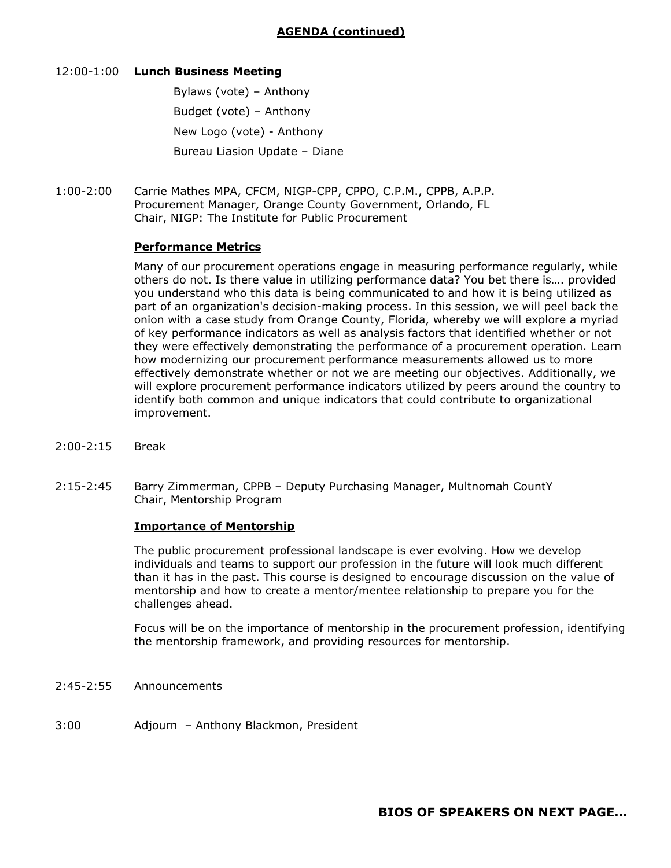#### 12:00-1:00 **Lunch Business Meeting**

Bylaws (vote) – Anthony Budget (vote) – Anthony New Logo (vote) - Anthony Bureau Liasion Update – Diane

1:00-2:00 Carrie Mathes MPA, CFCM, NIGP-CPP, CPPO, C.P.M., CPPB, A.P.P. Procurement Manager, Orange County Government, Orlando, FL Chair, NIGP: The Institute for Public Procurement

#### **Performance Metrics**

Many of our procurement operations engage in measuring performance regularly, while others do not. Is there value in utilizing performance data? You bet there is…. provided you understand who this data is being communicated to and how it is being utilized as part of an organization's decision-making process. In this session, we will peel back the onion with a case study from Orange County, Florida, whereby we will explore a myriad of key performance indicators as well as analysis factors that identified whether or not they were effectively demonstrating the performance of a procurement operation. Learn how modernizing our procurement performance measurements allowed us to more effectively demonstrate whether or not we are meeting our objectives. Additionally, we will explore procurement performance indicators utilized by peers around the country to identify both common and unique indicators that could contribute to organizational improvement.

- 2:00-2:15 Break
- 2:15-2:45 Barry Zimmerman, CPPB Deputy Purchasing Manager, Multnomah CountY Chair, Mentorship Program

#### **Importance of Mentorship**

The public procurement professional landscape is ever evolving. How we develop individuals and teams to support our profession in the future will look much different than it has in the past. This course is designed to encourage discussion on the value of mentorship and how to create a mentor/mentee relationship to prepare you for the challenges ahead.

Focus will be on the importance of mentorship in the procurement profession, identifying the mentorship framework, and providing resources for mentorship.

- 2:45-2:55 Announcements
- 3:00 Adjourn Anthony Blackmon, President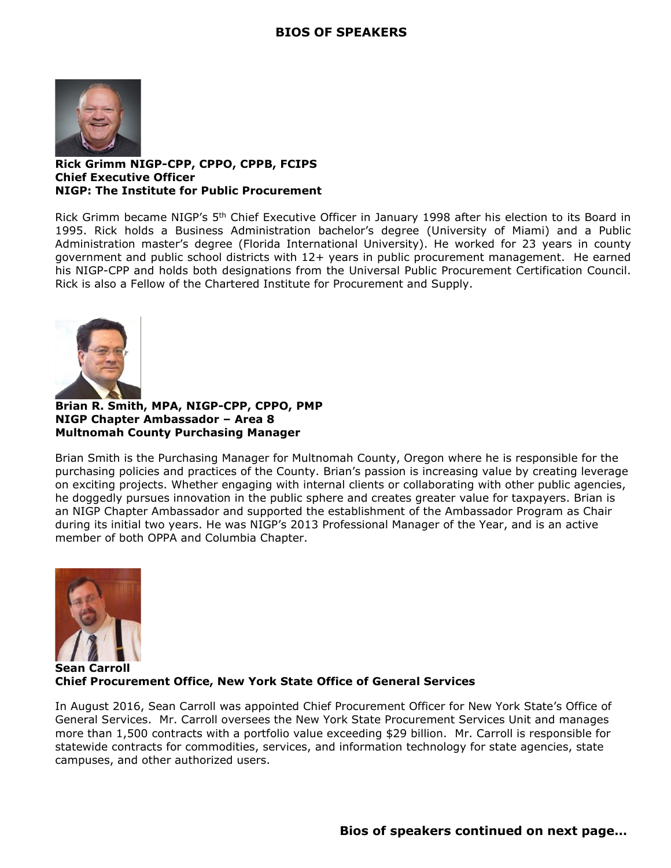

#### **Rick Grimm NIGP-CPP, CPPO, CPPB, FCIPS Chief Executive Officer NIGP: The Institute for Public Procurement**

Rick Grimm became NIGP's 5th Chief Executive Officer in January 1998 after his election to its Board in 1995. Rick holds a Business Administration bachelor's degree (University of Miami) and a Public Administration master's degree (Florida International University). He worked for 23 years in county government and public school districts with 12+ years in public procurement management. He earned his NIGP-CPP and holds both designations from the Universal Public Procurement Certification Council. Rick is also a Fellow of the Chartered Institute for Procurement and Supply.



**Brian R. Smith, MPA, NIGP-CPP, CPPO, PMP NIGP Chapter Ambassador – Area 8 Multnomah County Purchasing Manager**

Brian Smith is the Purchasing Manager for Multnomah County, Oregon where he is responsible for the purchasing policies and practices of the County. Brian's passion is increasing value by creating leverage on exciting projects. Whether engaging with internal clients or collaborating with other public agencies, he doggedly pursues innovation in the public sphere and creates greater value for taxpayers. Brian is an NIGP Chapter Ambassador and supported the establishment of the Ambassador Program as Chair during its initial two years. He was NIGP's 2013 Professional Manager of the Year, and is an active member of both OPPA and Columbia Chapter.



**Sean Carroll Chief Procurement Office, New York State Office of General Services**

In August 2016, Sean Carroll was appointed Chief Procurement Officer for New York State's Office of General Services. Mr. Carroll oversees the New York State Procurement Services Unit and manages more than 1,500 contracts with a portfolio value exceeding \$29 billion. Mr. Carroll is responsible for statewide contracts for commodities, services, and information technology for state agencies, state campuses, and other authorized users.